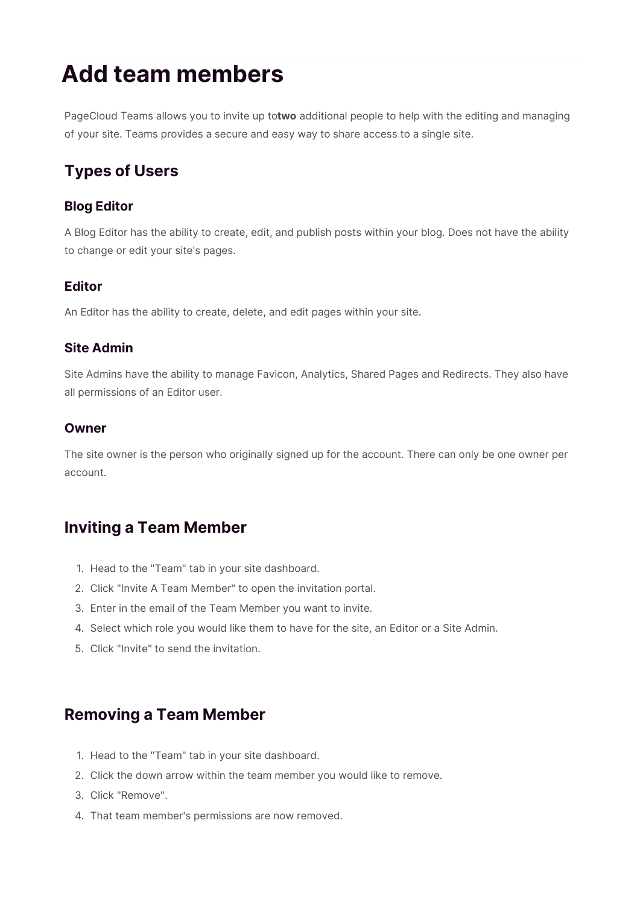# **Add team members**

PageCloud Teams allows you to invite up to**two** additional people to help with the editing and managing of your site. Teams provides a secure and easy way to share access to a single site.

# **Types of Users**

#### **Blog Editor**

A Blog Editor has the ability to create, edit, and publish posts within your blog. Does not have the ability to change or edit your site's pages.

#### **Editor**

An Editor has the ability to create, delete, and edit pages within your site.

#### **Site Admin**

Site Admins have the ability to manage Favicon, Analytics, Shared Pages and Redirects. They also have all permissions of an Editor user.

#### **Owner**

The site owner is the person who originally signed up for the account. There can only be one owner per account.

## **Inviting a Team Member**

- 1. Head to the "Team" tab in your site dashboard.
- 2. Click "Invite A Team Member" to open the invitation portal.
- 3. Enter in the email of the Team Member you want to invite.
- 4. Select which role you would like them to have for the site, an Editor or a Site Admin.
- 5. Click "Invite" to send the invitation.

## **Removing a Team Member**

- 1. Head to the "Team" tab in your site dashboard.
- 2. Click the down arrow within the team member you would like to remove.
- 3. Click "Remove".
- 4. That team member's permissions are now removed.